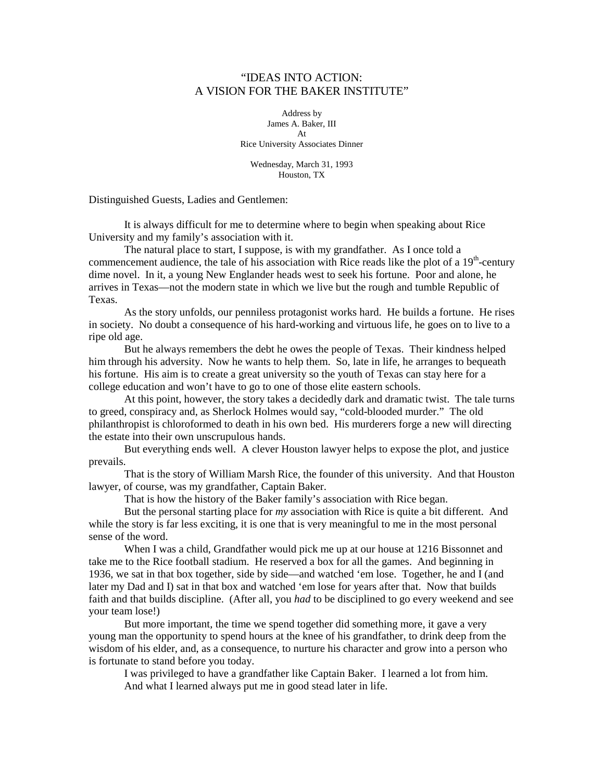## "IDEAS INTO ACTION: A VISION FOR THE BAKER INSTITUTE"

Address by James A. Baker, III At Rice University Associates Dinner

Wednesday, March 31, 1993 Houston, TX

Distinguished Guests, Ladies and Gentlemen:

 It is always difficult for me to determine where to begin when speaking about Rice University and my family's association with it.

 The natural place to start, I suppose, is with my grandfather. As I once told a commencement audience, the tale of his association with Rice reads like the plot of a  $19<sup>th</sup>$ -century dime novel. In it, a young New Englander heads west to seek his fortune. Poor and alone, he arrives in Texas—not the modern state in which we live but the rough and tumble Republic of Texas.

As the story unfolds, our penniless protagonist works hard. He builds a fortune. He rises in society. No doubt a consequence of his hard-working and virtuous life, he goes on to live to a ripe old age.

 But he always remembers the debt he owes the people of Texas. Their kindness helped him through his adversity. Now he wants to help them. So, late in life, he arranges to bequeath his fortune. His aim is to create a great university so the youth of Texas can stay here for a college education and won't have to go to one of those elite eastern schools.

 At this point, however, the story takes a decidedly dark and dramatic twist. The tale turns to greed, conspiracy and, as Sherlock Holmes would say, "cold-blooded murder." The old philanthropist is chloroformed to death in his own bed. His murderers forge a new will directing the estate into their own unscrupulous hands.

But everything ends well. A clever Houston lawyer helps to expose the plot, and justice prevails.

 That is the story of William Marsh Rice, the founder of this university. And that Houston lawyer, of course, was my grandfather, Captain Baker.

That is how the history of the Baker family's association with Rice began.

 But the personal starting place for *my* association with Rice is quite a bit different. And while the story is far less exciting, it is one that is very meaningful to me in the most personal sense of the word.

 When I was a child, Grandfather would pick me up at our house at 1216 Bissonnet and take me to the Rice football stadium. He reserved a box for all the games. And beginning in 1936, we sat in that box together, side by side—and watched 'em lose. Together, he and I (and later my Dad and I) sat in that box and watched 'em lose for years after that. Now that builds faith and that builds discipline. (After all, you *had* to be disciplined to go every weekend and see your team lose!)

But more important, the time we spend together did something more, it gave a very young man the opportunity to spend hours at the knee of his grandfather, to drink deep from the wisdom of his elder, and, as a consequence, to nurture his character and grow into a person who is fortunate to stand before you today.

 I was privileged to have a grandfather like Captain Baker. I learned a lot from him. And what I learned always put me in good stead later in life.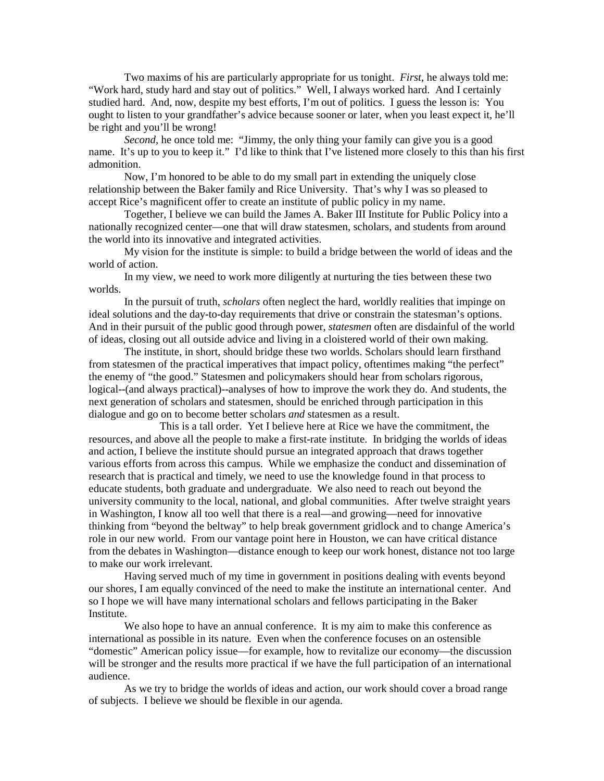Two maxims of his are particularly appropriate for us tonight. *First*, he always told me: "Work hard, study hard and stay out of politics." Well, I always worked hard. And I certainly studied hard. And, now, despite my best efforts, I'm out of politics. I guess the lesson is: You ought to listen to your grandfather's advice because sooner or later, when you least expect it, he'll be right and you'll be wrong!

*Second*, he once told me: "Jimmy, the only thing your family can give you is a good name. It's up to you to keep it." I'd like to think that I've listened more closely to this than his first admonition.

 Now, I'm honored to be able to do my small part in extending the uniquely close relationship between the Baker family and Rice University. That's why I was so pleased to accept Rice's magnificent offer to create an institute of public policy in my name.

 Together, I believe we can build the James A. Baker III Institute for Public Policy into a nationally recognized center—one that will draw statesmen, scholars, and students from around the world into its innovative and integrated activities.

My vision for the institute is simple: to build a bridge between the world of ideas and the world of action.

In my view, we need to work more diligently at nurturing the ties between these two worlds.

In the pursuit of truth, *scholars* often neglect the hard, worldly realities that impinge on ideal solutions and the day-to-day requirements that drive or constrain the statesman's options. And in their pursuit of the public good through power, *statesmen* often are disdainful of the world of ideas, closing out all outside advice and living in a cloistered world of their own making.

The institute, in short, should bridge these two worlds. Scholars should learn firsthand from statesmen of the practical imperatives that impact policy, oftentimes making "the perfect" the enemy of "the good." Statesmen and policymakers should hear from scholars rigorous, logical--(and always practical)--analyses of how to improve the work they do. And students, the next generation of scholars and statesmen, should be enriched through participation in this dialogue and go on to become better scholars *and* statesmen as a result.

 This is a tall order. Yet I believe here at Rice we have the commitment, the resources, and above all the people to make a first-rate institute. In bridging the worlds of ideas and action, I believe the institute should pursue an integrated approach that draws together various efforts from across this campus. While we emphasize the conduct and dissemination of research that is practical and timely, we need to use the knowledge found in that process to educate students, both graduate and undergraduate. We also need to reach out beyond the university community to the local, national, and global communities. After twelve straight years in Washington, I know all too well that there is a real—and growing—need for innovative thinking from "beyond the beltway" to help break government gridlock and to change America's role in our new world. From our vantage point here in Houston, we can have critical distance from the debates in Washington—distance enough to keep our work honest, distance not too large to make our work irrelevant.

Having served much of my time in government in positions dealing with events beyond our shores, I am equally convinced of the need to make the institute an international center. And so I hope we will have many international scholars and fellows participating in the Baker Institute.

We also hope to have an annual conference. It is my aim to make this conference as international as possible in its nature. Even when the conference focuses on an ostensible "domestic" American policy issue—for example, how to revitalize our economy—the discussion will be stronger and the results more practical if we have the full participation of an international audience.

As we try to bridge the worlds of ideas and action, our work should cover a broad range of subjects. I believe we should be flexible in our agenda.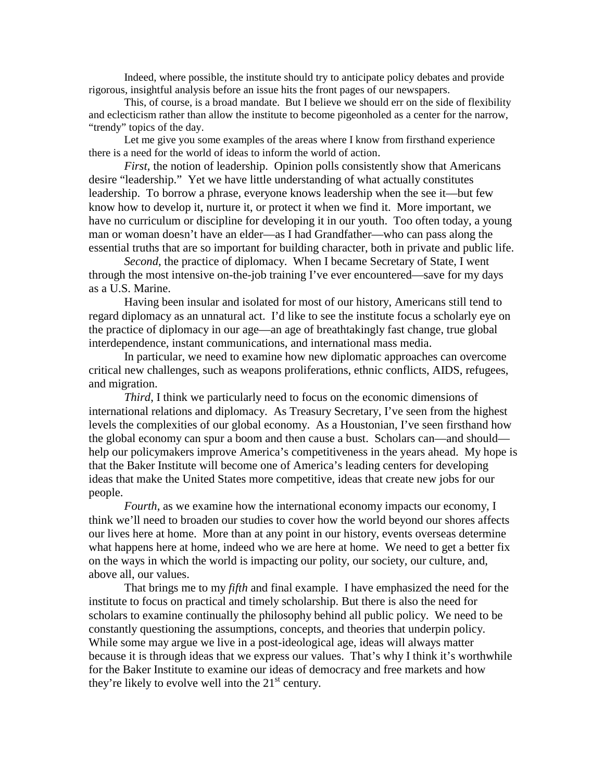Indeed, where possible, the institute should try to anticipate policy debates and provide rigorous, insightful analysis before an issue hits the front pages of our newspapers.

This, of course, is a broad mandate. But I believe we should err on the side of flexibility and eclecticism rather than allow the institute to become pigeonholed as a center for the narrow, "trendy" topics of the day.

Let me give you some examples of the areas where I know from firsthand experience there is a need for the world of ideas to inform the world of action.

*First*, the notion of leadership. Opinion polls consistently show that Americans desire "leadership." Yet we have little understanding of what actually constitutes leadership. To borrow a phrase, everyone knows leadership when the see it—but few know how to develop it, nurture it, or protect it when we find it. More important, we have no curriculum or discipline for developing it in our youth. Too often today, a young man or woman doesn't have an elder—as I had Grandfather—who can pass along the essential truths that are so important for building character, both in private and public life.

*Second*, the practice of diplomacy. When I became Secretary of State, I went through the most intensive on-the-job training I've ever encountered—save for my days as a U.S. Marine.

Having been insular and isolated for most of our history, Americans still tend to regard diplomacy as an unnatural act. I'd like to see the institute focus a scholarly eye on the practice of diplomacy in our age—an age of breathtakingly fast change, true global interdependence, instant communications, and international mass media.

In particular, we need to examine how new diplomatic approaches can overcome critical new challenges, such as weapons proliferations, ethnic conflicts, AIDS, refugees, and migration.

*Third*, I think we particularly need to focus on the economic dimensions of international relations and diplomacy. As Treasury Secretary, I've seen from the highest levels the complexities of our global economy. As a Houstonian, I've seen firsthand how the global economy can spur a boom and then cause a bust. Scholars can—and should help our policymakers improve America's competitiveness in the years ahead. My hope is that the Baker Institute will become one of America's leading centers for developing ideas that make the United States more competitive, ideas that create new jobs for our people.

*Fourth*, as we examine how the international economy impacts our economy, I think we'll need to broaden our studies to cover how the world beyond our shores affects our lives here at home. More than at any point in our history, events overseas determine what happens here at home, indeed who we are here at home. We need to get a better fix on the ways in which the world is impacting our polity, our society, our culture, and, above all, our values.

That brings me to my *fifth* and final example. I have emphasized the need for the institute to focus on practical and timely scholarship. But there is also the need for scholars to examine continually the philosophy behind all public policy. We need to be constantly questioning the assumptions, concepts, and theories that underpin policy. While some may argue we live in a post-ideological age, ideas will always matter because it is through ideas that we express our values. That's why I think it's worthwhile for the Baker Institute to examine our ideas of democracy and free markets and how they're likely to evolve well into the  $21<sup>st</sup>$  century.